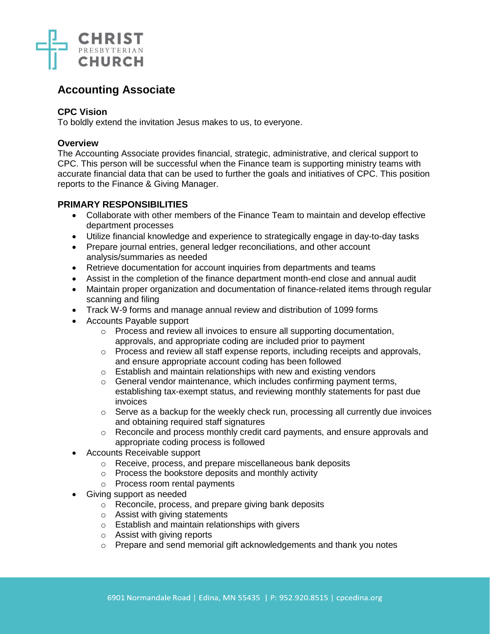

# **Accounting Associate**

# **CPC Vision**

To boldly extend the invitation Jesus makes to us, to everyone.

## **Overview**

The Accounting Associate provides financial, strategic, administrative, and clerical support to CPC. This person will be successful when the Finance team is supporting ministry teams with accurate financial data that can be used to further the goals and initiatives of CPC. This position reports to the Finance & Giving Manager.

# **PRIMARY RESPONSIBILITIES**

- Collaborate with other members of the Finance Team to maintain and develop effective department processes
- Utilize financial knowledge and experience to strategically engage in day-to-day tasks
- Prepare journal entries, general ledger reconciliations, and other account analysis/summaries as needed
- Retrieve documentation for account inquiries from departments and teams
- Assist in the completion of the finance department month-end close and annual audit
- Maintain proper organization and documentation of finance-related items through regular scanning and filing
- Track W-9 forms and manage annual review and distribution of 1099 forms
- Accounts Payable support
	- o Process and review all invoices to ensure all supporting documentation, approvals, and appropriate coding are included prior to payment
	- $\circ$  Process and review all staff expense reports, including receipts and approvals, and ensure appropriate account coding has been followed
	- o Establish and maintain relationships with new and existing vendors
	- o General vendor maintenance, which includes confirming payment terms, establishing tax-exempt status, and reviewing monthly statements for past due invoices
	- o Serve as a backup for the weekly check run, processing all currently due invoices and obtaining required staff signatures
	- o Reconcile and process monthly credit card payments, and ensure approvals and appropriate coding process is followed
- Accounts Receivable support
	- o Receive, process, and prepare miscellaneous bank deposits
	- o Process the bookstore deposits and monthly activity
	- o Process room rental payments
- Giving support as needed
	- o Reconcile, process, and prepare giving bank deposits
	- o Assist with giving statements
	- o Establish and maintain relationships with givers
	- o Assist with giving reports
	- o Prepare and send memorial gift acknowledgements and thank you notes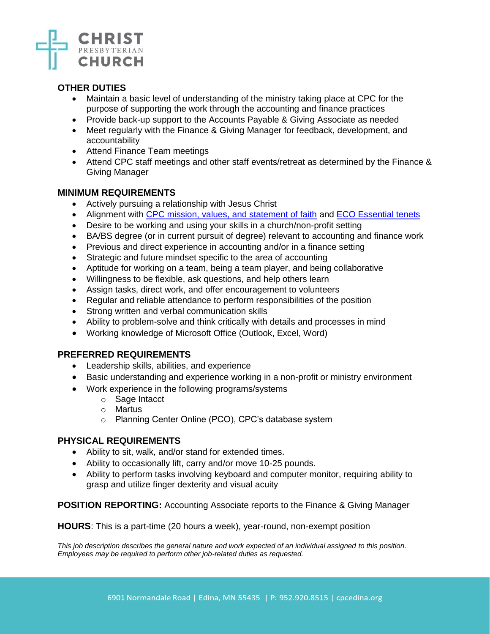

# **OTHER DUTIES**

- Maintain a basic level of understanding of the ministry taking place at CPC for the purpose of supporting the work through the accounting and finance practices
- Provide back-up support to the Accounts Payable & Giving Associate as needed
- Meet regularly with the Finance & Giving Manager for feedback, development, and accountability
- Attend Finance Team meetings
- Attend CPC staff meetings and other staff events/retreat as determined by the Finance & Giving Manager

### **MINIMUM REQUIREMENTS**

- Actively pursuing a relationship with Jesus Christ
- Alignment with [CPC mission, values, and statement of faith](https://www.cpconline.org/who-we-are/) and [ECO Essential tenets](https://www.eco-pres.org/static/media/uploads/resources/Essential%20Tenets/new_format_-_essential.pdf)
- Desire to be working and using your skills in a church/non-profit setting
- BA/BS degree (or in current pursuit of degree) relevant to accounting and finance work
- Previous and direct experience in accounting and/or in a finance setting
- Strategic and future mindset specific to the area of accounting
- Aptitude for working on a team, being a team player, and being collaborative
- Willingness to be flexible, ask questions, and help others learn
- Assign tasks, direct work, and offer encouragement to volunteers
- Regular and reliable attendance to perform responsibilities of the position
- Strong written and verbal communication skills
- Ability to problem-solve and think critically with details and processes in mind
- Working knowledge of Microsoft Office (Outlook, Excel, Word)

#### **PREFERRED REQUIREMENTS**

- Leadership skills, abilities, and experience
- Basic understanding and experience working in a non-profit or ministry environment
- Work experience in the following programs/systems
	- o Sage Intacct
	- o Martus
	- o Planning Center Online (PCO), CPC's database system

# **PHYSICAL REQUIREMENTS**

- Ability to sit, walk, and/or stand for extended times.
- Ability to occasionally lift, carry and/or move 10-25 pounds.
- Ability to perform tasks involving keyboard and computer monitor, requiring ability to grasp and utilize finger dexterity and visual acuity

#### **POSITION REPORTING:** Accounting Associate reports to the Finance & Giving Manager

**HOURS**: This is a part-time (20 hours a week), year-round, non-exempt position

*This job description describes the general nature and work expected of an individual assigned to this position. Employees may be required to perform other job-related duties as requested.*